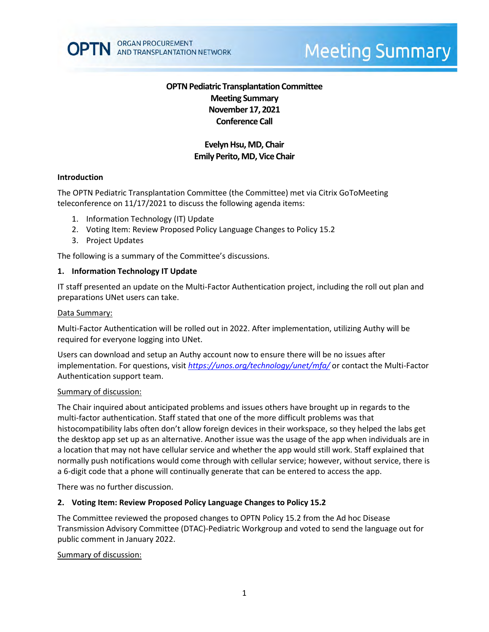

# **Meeting Summary**

# **OPTN Pediatric Transplantation Committee Meeting Summary November 17, 2021 Conference Call**

# **Evelyn Hsu, MD, Chair Emily Perito, MD, Vice Chair**

#### **Introduction**

The OPTN Pediatric Transplantation Committee (the Committee) met via Citrix GoToMeeting teleconference on 11/17/2021 to discuss the following agenda items:

- 1. Information Technology (IT) Update
- 2. Voting Item: Review Proposed Policy Language Changes to Policy 15.2
- 3. Project Updates

The following is a summary of the Committee's discussions.

#### **1. Information Technology IT Update**

IT staff presented an update on the Multi-Factor Authentication project, including the roll out plan and preparations UNet users can take.

#### Data Summary:

Multi-Factor Authentication will be rolled out in 2022. After implementation, utilizing Authy will be required for everyone logging into UNet.

Users can download and setup an Authy account now to ensure there will be no issues after implementation. For questions, visit *<https://unos.org/technology/unet/mfa/>* or contact the Multi-Factor Authentication support team.

#### Summary of discussion:

The Chair inquired about anticipated problems and issues others have brought up in regards to the multi-factor authentication. Staff stated that one of the more difficult problems was that histocompatibility labs often don't allow foreign devices in their workspace, so they helped the labs get the desktop app set up as an alternative. Another issue was the usage of the app when individuals are in a location that may not have cellular service and whether the app would still work. Staff explained that normally push notifications would come through with cellular service; however, without service, there is a 6-digit code that a phone will continually generate that can be entered to access the app.

There was no further discussion.

#### **2. Voting Item: Review Proposed Policy Language Changes to Policy 15.2**

The Committee reviewed the proposed changes to OPTN Policy 15.2 from the Ad hoc Disease Transmission Advisory Committee (DTAC)-Pediatric Workgroup and voted to send the language out for public comment in January 2022.

#### Summary of discussion: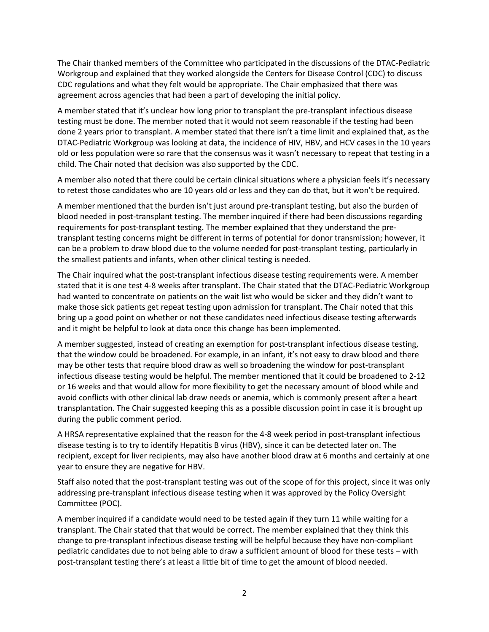The Chair thanked members of the Committee who participated in the discussions of the DTAC-Pediatric Workgroup and explained that they worked alongside the Centers for Disease Control (CDC) to discuss CDC regulations and what they felt would be appropriate. The Chair emphasized that there was agreement across agencies that had been a part of developing the initial policy.

A member stated that it's unclear how long prior to transplant the pre-transplant infectious disease testing must be done. The member noted that it would not seem reasonable if the testing had been done 2 years prior to transplant. A member stated that there isn't a time limit and explained that, as the DTAC-Pediatric Workgroup was looking at data, the incidence of HIV, HBV, and HCV cases in the 10 years old or less population were so rare that the consensus was it wasn't necessary to repeat that testing in a child. The Chair noted that decision was also supported by the CDC.

A member also noted that there could be certain clinical situations where a physician feels it's necessary to retest those candidates who are 10 years old or less and they can do that, but it won't be required.

A member mentioned that the burden isn't just around pre-transplant testing, but also the burden of blood needed in post-transplant testing. The member inquired if there had been discussions regarding requirements for post-transplant testing. The member explained that they understand the pretransplant testing concerns might be different in terms of potential for donor transmission; however, it can be a problem to draw blood due to the volume needed for post-transplant testing, particularly in the smallest patients and infants, when other clinical testing is needed.

The Chair inquired what the post-transplant infectious disease testing requirements were. A member stated that it is one test 4-8 weeks after transplant. The Chair stated that the DTAC-Pediatric Workgroup had wanted to concentrate on patients on the wait list who would be sicker and they didn't want to make those sick patients get repeat testing upon admission for transplant. The Chair noted that this bring up a good point on whether or not these candidates need infectious disease testing afterwards and it might be helpful to look at data once this change has been implemented.

A member suggested, instead of creating an exemption for post-transplant infectious disease testing, that the window could be broadened. For example, in an infant, it's not easy to draw blood and there may be other tests that require blood draw as well so broadening the window for post-transplant infectious disease testing would be helpful. The member mentioned that it could be broadened to 2-12 or 16 weeks and that would allow for more flexibility to get the necessary amount of blood while and avoid conflicts with other clinical lab draw needs or anemia, which is commonly present after a heart transplantation. The Chair suggested keeping this as a possible discussion point in case it is brought up during the public comment period.

A HRSA representative explained that the reason for the 4-8 week period in post-transplant infectious disease testing is to try to identify Hepatitis B virus (HBV), since it can be detected later on. The recipient, except for liver recipients, may also have another blood draw at 6 months and certainly at one year to ensure they are negative for HBV.

Staff also noted that the post-transplant testing was out of the scope of for this project, since it was only addressing pre-transplant infectious disease testing when it was approved by the Policy Oversight Committee (POC).

A member inquired if a candidate would need to be tested again if they turn 11 while waiting for a transplant. The Chair stated that that would be correct. The member explained that they think this change to pre-transplant infectious disease testing will be helpful because they have non-compliant pediatric candidates due to not being able to draw a sufficient amount of blood for these tests – with post-transplant testing there's at least a little bit of time to get the amount of blood needed.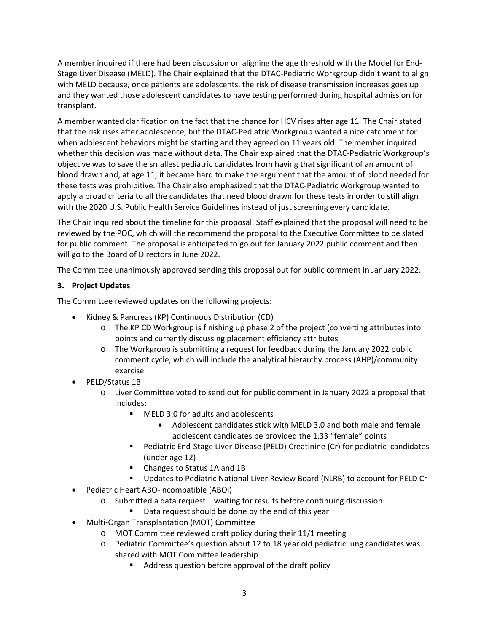A member inquired if there had been discussion on aligning the age threshold with the Model for End-Stage Liver Disease (MELD). The Chair explained that the DTAC-Pediatric Workgroup didn't want to align with MELD because, once patients are adolescents, the risk of disease transmission increases goes up and they wanted those adolescent candidates to have testing performed during hospital admission for transplant.

A member wanted clarification on the fact that the chance for HCV rises after age 11. The Chair stated that the risk rises after adolescence, but the DTAC-Pediatric Workgroup wanted a nice catchment for when adolescent behaviors might be starting and they agreed on 11 years old. The member inquired whether this decision was made without data. The Chair explained that the DTAC-Pediatric Workgroup's objective was to save the smallest pediatric candidates from having that significant of an amount of blood drawn and, at age 11, it became hard to make the argument that the amount of blood needed for these tests was prohibitive. The Chair also emphasized that the DTAC-Pediatric Workgroup wanted to apply a broad criteria to all the candidates that need blood drawn for these tests in order to still align with the 2020 U.S. Public Health Service Guidelines instead of just screening every candidate.

The Chair inquired about the timeline for this proposal. Staff explained that the proposal will need to be reviewed by the POC, which will the recommend the proposal to the Executive Committee to be slated for public comment. The proposal is anticipated to go out for January 2022 public comment and then will go to the Board of Directors in June 2022.

The Committee unanimously approved sending this proposal out for public comment in January 2022.

# **3. Project Updates**

The Committee reviewed updates on the following projects:

- Kidney & Pancreas (KP) Continuous Distribution (CD)
	- o The KP CD Workgroup is finishing up phase 2 of the project (converting attributes into points and currently discussing placement efficiency attributes
	- o The Workgroup is submitting a request for feedback during the January 2022 public comment cycle, which will include the analytical hierarchy process (AHP)/community exercise
- PELD/Status 1B
	- o Liver Committee voted to send out for public comment in January 2022 a proposal that includes:
		- MELD 3.0 for adults and adolescents
			- Adolescent candidates stick with MELD 3.0 and both male and female adolescent candidates be provided the 1.33 "female" points
		- Pediatric End-Stage Liver Disease (PELD) Creatinine (Cr) for pediatric candidates (under age 12)
		- Changes to Status 1A and 1B
		- Updates to Pediatric National Liver Review Board (NLRB) to account for PELD Cr
- Pediatric Heart ABO-incompatible (ABOi)
	- o Submitted a data request waiting for results before continuing discussion
		- Data request should be done by the end of this year
- Multi-Organ Transplantation (MOT) Committee
	- o MOT Committee reviewed draft policy during their 11/1 meeting
	- o Pediatric Committee's question about 12 to 18 year old pediatric lung candidates was shared with MOT Committee leadership
		- Address question before approval of the draft policy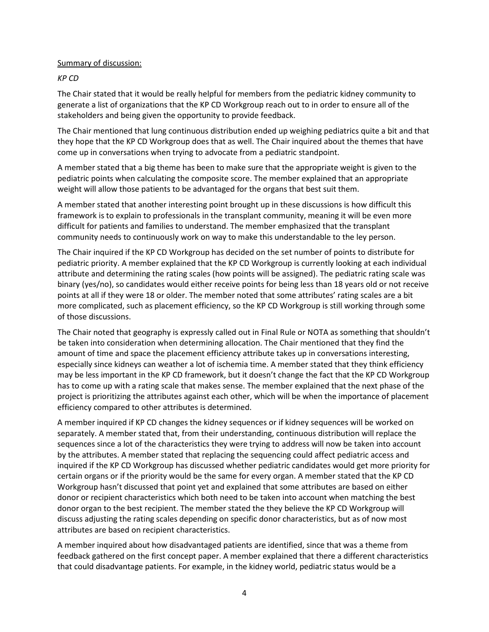#### Summary of discussion:

## *KP CD*

The Chair stated that it would be really helpful for members from the pediatric kidney community to generate a list of organizations that the KP CD Workgroup reach out to in order to ensure all of the stakeholders and being given the opportunity to provide feedback.

The Chair mentioned that lung continuous distribution ended up weighing pediatrics quite a bit and that they hope that the KP CD Workgroup does that as well. The Chair inquired about the themes that have come up in conversations when trying to advocate from a pediatric standpoint.

A member stated that a big theme has been to make sure that the appropriate weight is given to the pediatric points when calculating the composite score. The member explained that an appropriate weight will allow those patients to be advantaged for the organs that best suit them.

A member stated that another interesting point brought up in these discussions is how difficult this framework is to explain to professionals in the transplant community, meaning it will be even more difficult for patients and families to understand. The member emphasized that the transplant community needs to continuously work on way to make this understandable to the ley person.

The Chair inquired if the KP CD Workgroup has decided on the set number of points to distribute for pediatric priority. A member explained that the KP CD Workgroup is currently looking at each individual attribute and determining the rating scales (how points will be assigned). The pediatric rating scale was binary (yes/no), so candidates would either receive points for being less than 18 years old or not receive points at all if they were 18 or older. The member noted that some attributes' rating scales are a bit more complicated, such as placement efficiency, so the KP CD Workgroup is still working through some of those discussions.

The Chair noted that geography is expressly called out in Final Rule or NOTA as something that shouldn't be taken into consideration when determining allocation. The Chair mentioned that they find the amount of time and space the placement efficiency attribute takes up in conversations interesting, especially since kidneys can weather a lot of ischemia time. A member stated that they think efficiency may be less important in the KP CD framework, but it doesn't change the fact that the KP CD Workgroup has to come up with a rating scale that makes sense. The member explained that the next phase of the project is prioritizing the attributes against each other, which will be when the importance of placement efficiency compared to other attributes is determined.

A member inquired if KP CD changes the kidney sequences or if kidney sequences will be worked on separately. A member stated that, from their understanding, continuous distribution will replace the sequences since a lot of the characteristics they were trying to address will now be taken into account by the attributes. A member stated that replacing the sequencing could affect pediatric access and inquired if the KP CD Workgroup has discussed whether pediatric candidates would get more priority for certain organs or if the priority would be the same for every organ. A member stated that the KP CD Workgroup hasn't discussed that point yet and explained that some attributes are based on either donor or recipient characteristics which both need to be taken into account when matching the best donor organ to the best recipient. The member stated the they believe the KP CD Workgroup will discuss adjusting the rating scales depending on specific donor characteristics, but as of now most attributes are based on recipient characteristics.

A member inquired about how disadvantaged patients are identified, since that was a theme from feedback gathered on the first concept paper. A member explained that there a different characteristics that could disadvantage patients. For example, in the kidney world, pediatric status would be a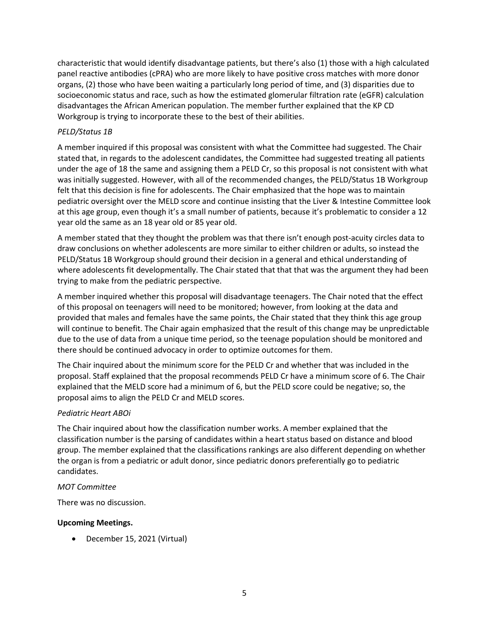characteristic that would identify disadvantage patients, but there's also (1) those with a high calculated panel reactive antibodies (cPRA) who are more likely to have positive cross matches with more donor organs, (2) those who have been waiting a particularly long period of time, and (3) disparities due to socioeconomic status and race, such as how the estimated glomerular filtration rate (eGFR) calculation disadvantages the African American population. The member further explained that the KP CD Workgroup is trying to incorporate these to the best of their abilities.

## *PELD/Status 1B*

A member inquired if this proposal was consistent with what the Committee had suggested. The Chair stated that, in regards to the adolescent candidates, the Committee had suggested treating all patients under the age of 18 the same and assigning them a PELD Cr, so this proposal is not consistent with what was initially suggested. However, with all of the recommended changes, the PELD/Status 1B Workgroup felt that this decision is fine for adolescents. The Chair emphasized that the hope was to maintain pediatric oversight over the MELD score and continue insisting that the Liver & Intestine Committee look at this age group, even though it's a small number of patients, because it's problematic to consider a 12 year old the same as an 18 year old or 85 year old.

A member stated that they thought the problem was that there isn't enough post-acuity circles data to draw conclusions on whether adolescents are more similar to either children or adults, so instead the PELD/Status 1B Workgroup should ground their decision in a general and ethical understanding of where adolescents fit developmentally. The Chair stated that that that was the argument they had been trying to make from the pediatric perspective.

A member inquired whether this proposal will disadvantage teenagers. The Chair noted that the effect of this proposal on teenagers will need to be monitored; however, from looking at the data and provided that males and females have the same points, the Chair stated that they think this age group will continue to benefit. The Chair again emphasized that the result of this change may be unpredictable due to the use of data from a unique time period, so the teenage population should be monitored and there should be continued advocacy in order to optimize outcomes for them.

The Chair inquired about the minimum score for the PELD Cr and whether that was included in the proposal. Staff explained that the proposal recommends PELD Cr have a minimum score of 6. The Chair explained that the MELD score had a minimum of 6, but the PELD score could be negative; so, the proposal aims to align the PELD Cr and MELD scores.

## *Pediatric Heart ABOi*

The Chair inquired about how the classification number works. A member explained that the classification number is the parsing of candidates within a heart status based on distance and blood group. The member explained that the classifications rankings are also different depending on whether the organ is from a pediatric or adult donor, since pediatric donors preferentially go to pediatric candidates.

## *MOT Committee*

There was no discussion.

## **Upcoming Meetings.**

• December 15, 2021 (Virtual)